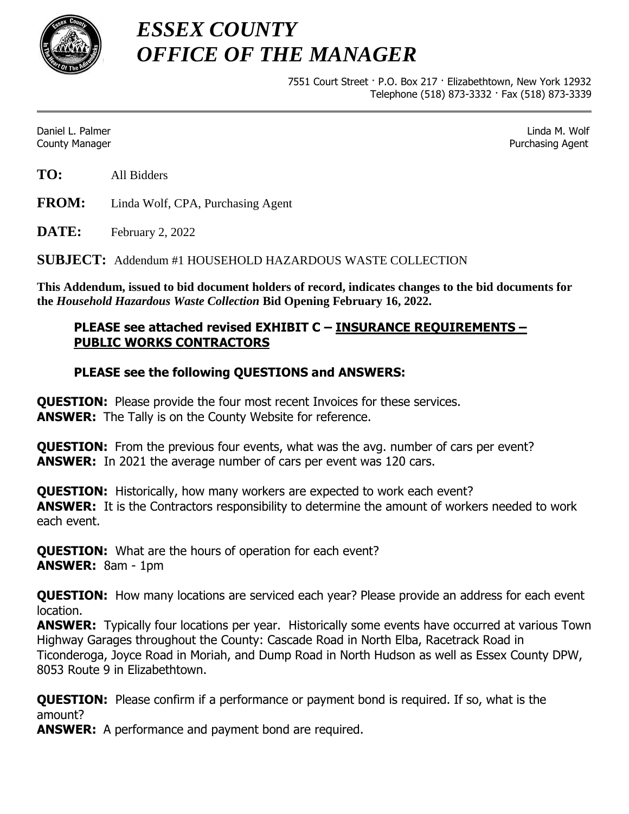

*ESSEX COUNTY OFFICE OF THE MANAGER*

> 7551 Court Street · P.O. Box 217 · Elizabethtown, New York 12932 Telephone (518) 873-3332 · Fax (518) 873-3339

Daniel L. Palmer Linda M. Wolf County Manager Purchasing Agent

**TO:** All Bidders

**FROM:** Linda Wolf, CPA, Purchasing Agent

**DATE:** February 2, 2022

**SUBJECT:** Addendum #1 HOUSEHOLD HAZARDOUS WASTE COLLECTION

**This Addendum, issued to bid document holders of record, indicates changes to the bid documents for the** *Household Hazardous Waste Collection* **Bid Opening February 16, 2022.**

## **PLEASE see attached revised EXHIBIT C – INSURANCE REQUIREMENTS – PUBLIC WORKS CONTRACTORS**

## **PLEASE see the following QUESTIONS and ANSWERS:**

**QUESTION:** Please provide the four most recent Invoices for these services. **ANSWER:** The Tally is on the County Website for reference.

**QUESTION:** From the previous four events, what was the avg. number of cars per event? **ANSWER:** In 2021 the average number of cars per event was 120 cars.

**QUESTION:** Historically, how many workers are expected to work each event? **ANSWER:** It is the Contractors responsibility to determine the amount of workers needed to work each event.

**QUESTION:** What are the hours of operation for each event? **ANSWER:** 8am - 1pm

**QUESTION:** How many locations are serviced each year? Please provide an address for each event location.

**ANSWER:** Typically four locations per year. Historically some events have occurred at various Town Highway Garages throughout the County: Cascade Road in North Elba, Racetrack Road in Ticonderoga, Joyce Road in Moriah, and Dump Road in North Hudson as well as Essex County DPW, 8053 Route 9 in Elizabethtown.

**QUESTION:** Please confirm if a performance or payment bond is required. If so, what is the amount?

**ANSWER:** A performance and payment bond are required.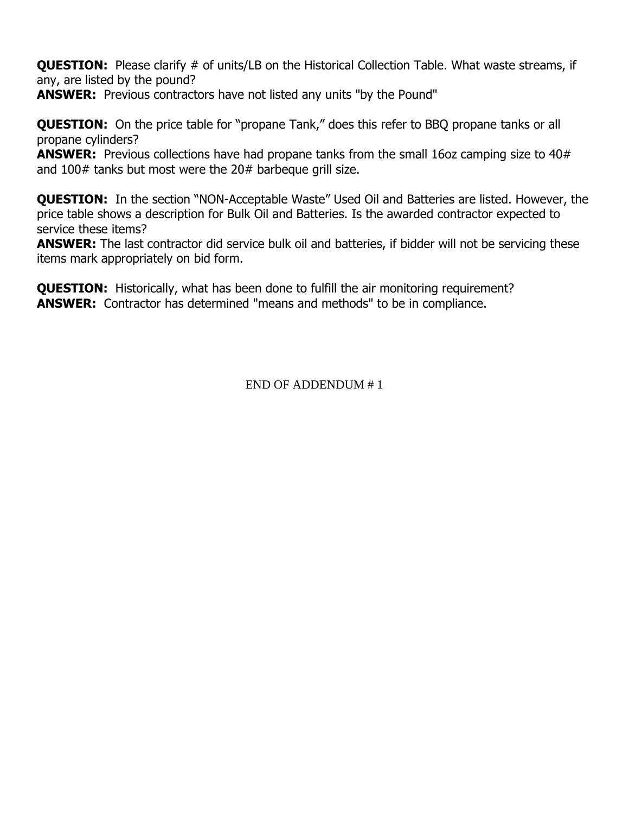**QUESTION:** Please clarify # of units/LB on the Historical Collection Table. What waste streams, if any, are listed by the pound?

**ANSWER:** Previous contractors have not listed any units "by the Pound"

**QUESTION:** On the price table for "propane Tank," does this refer to BBQ propane tanks or all propane cylinders?

**ANSWER:** Previous collections have had propane tanks from the small 16oz camping size to 40# and 100# tanks but most were the 20# barbeque grill size.

**QUESTION:** In the section "NON-Acceptable Waste" Used Oil and Batteries are listed. However, the price table shows a description for Bulk Oil and Batteries. Is the awarded contractor expected to service these items?

**ANSWER:** The last contractor did service bulk oil and batteries, if bidder will not be servicing these items mark appropriately on bid form.

**QUESTION:** Historically, what has been done to fulfill the air monitoring requirement? **ANSWER:** Contractor has determined "means and methods" to be in compliance.

END OF ADDENDUM # 1